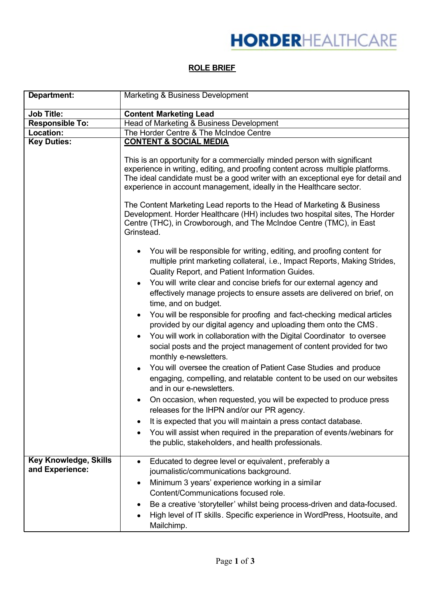## **ROLE BRIEF**

| Department:                              | Marketing & Business Development                                                                                                                                                                                                                                                                                                                                                                                                                                                                                                                                                                                                                                                                                                                                                                                                                                                                                                                                                                                                                                                                                                                                                                                                                                                    |
|------------------------------------------|-------------------------------------------------------------------------------------------------------------------------------------------------------------------------------------------------------------------------------------------------------------------------------------------------------------------------------------------------------------------------------------------------------------------------------------------------------------------------------------------------------------------------------------------------------------------------------------------------------------------------------------------------------------------------------------------------------------------------------------------------------------------------------------------------------------------------------------------------------------------------------------------------------------------------------------------------------------------------------------------------------------------------------------------------------------------------------------------------------------------------------------------------------------------------------------------------------------------------------------------------------------------------------------|
|                                          |                                                                                                                                                                                                                                                                                                                                                                                                                                                                                                                                                                                                                                                                                                                                                                                                                                                                                                                                                                                                                                                                                                                                                                                                                                                                                     |
| <b>Job Title:</b>                        | <b>Content Marketing Lead</b>                                                                                                                                                                                                                                                                                                                                                                                                                                                                                                                                                                                                                                                                                                                                                                                                                                                                                                                                                                                                                                                                                                                                                                                                                                                       |
| <b>Responsible To:</b>                   | Head of Marketing & Business Development                                                                                                                                                                                                                                                                                                                                                                                                                                                                                                                                                                                                                                                                                                                                                                                                                                                                                                                                                                                                                                                                                                                                                                                                                                            |
| Location:                                | The Horder Centre & The McIndoe Centre                                                                                                                                                                                                                                                                                                                                                                                                                                                                                                                                                                                                                                                                                                                                                                                                                                                                                                                                                                                                                                                                                                                                                                                                                                              |
| <b>Key Duties:</b>                       | <b>CONTENT &amp; SOCIAL MEDIA</b>                                                                                                                                                                                                                                                                                                                                                                                                                                                                                                                                                                                                                                                                                                                                                                                                                                                                                                                                                                                                                                                                                                                                                                                                                                                   |
|                                          | This is an opportunity for a commercially minded person with significant<br>experience in writing, editing, and proofing content across multiple platforms.<br>The ideal candidate must be a good writer with an exceptional eye for detail and<br>experience in account management, ideally in the Healthcare sector.<br>The Content Marketing Lead reports to the Head of Marketing & Business<br>Development. Horder Healthcare (HH) includes two hospital sites, The Horder<br>Centre (THC), in Crowborough, and The McIndoe Centre (TMC), in East<br>Grinstead.                                                                                                                                                                                                                                                                                                                                                                                                                                                                                                                                                                                                                                                                                                                |
|                                          | You will be responsible for writing, editing, and proofing content for<br>٠<br>multiple print marketing collateral, i.e., Impact Reports, Making Strides,<br>Quality Report, and Patient Information Guides.<br>You will write clear and concise briefs for our external agency and<br>$\bullet$<br>effectively manage projects to ensure assets are delivered on brief, on<br>time, and on budget.<br>You will be responsible for proofing and fact-checking medical articles<br>٠<br>provided by our digital agency and uploading them onto the CMS.<br>You will work in collaboration with the Digital Coordinator to oversee<br>$\bullet$<br>social posts and the project management of content provided for two<br>monthly e-newsletters.<br>You will oversee the creation of Patient Case Studies and produce<br>$\bullet$<br>engaging, compelling, and relatable content to be used on our websites<br>and in our e-newsletters.<br>On occasion, when requested, you will be expected to produce press<br>٠<br>releases for the IHPN and/or our PR agency.<br>It is expected that you will maintain a press contact database.<br>You will assist when required in the preparation of events/webinars for<br>$\bullet$<br>the public, stakeholders, and health professionals. |
| Key Knowledge, Skills<br>and Experience: | Educated to degree level or equivalent, preferably a<br>$\bullet$<br>journalistic/communications background.<br>Minimum 3 years' experience working in a similar<br>٠<br>Content/Communications focused role.<br>Be a creative 'storyteller' whilst being process-driven and data-focused.<br>High level of IT skills. Specific experience in WordPress, Hootsuite, and<br>Mailchimp.                                                                                                                                                                                                                                                                                                                                                                                                                                                                                                                                                                                                                                                                                                                                                                                                                                                                                               |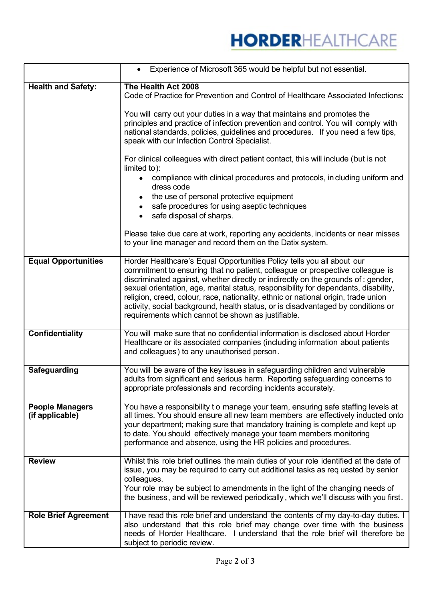|                                           | Experience of Microsoft 365 would be helpful but not essential.                                                                                                                                                                                                                                                                                                                                                                                                                                                                                                     |
|-------------------------------------------|---------------------------------------------------------------------------------------------------------------------------------------------------------------------------------------------------------------------------------------------------------------------------------------------------------------------------------------------------------------------------------------------------------------------------------------------------------------------------------------------------------------------------------------------------------------------|
| <b>Health and Safety:</b>                 | The Health Act 2008<br>Code of Practice for Prevention and Control of Healthcare Associated Infections:                                                                                                                                                                                                                                                                                                                                                                                                                                                             |
|                                           | You will carry out your duties in a way that maintains and promotes the<br>principles and practice of infection prevention and control. You will comply with<br>national standards, policies, guidelines and procedures. If you need a few tips,<br>speak with our Infection Control Specialist.                                                                                                                                                                                                                                                                    |
|                                           | For clinical colleagues with direct patient contact, this will include (but is not<br>limited to):                                                                                                                                                                                                                                                                                                                                                                                                                                                                  |
|                                           | compliance with clinical procedures and protocols, in cluding uniform and<br>dress code                                                                                                                                                                                                                                                                                                                                                                                                                                                                             |
|                                           | the use of personal protective equipment<br>safe procedures for using aseptic techniques<br>safe disposal of sharps.                                                                                                                                                                                                                                                                                                                                                                                                                                                |
|                                           | Please take due care at work, reporting any accidents, incidents or near misses<br>to your line manager and record them on the Datix system.                                                                                                                                                                                                                                                                                                                                                                                                                        |
| <b>Equal Opportunities</b>                | Horder Healthcare's Equal Opportunities Policy tells you all about our<br>commitment to ensuring that no patient, colleague or prospective colleague is<br>discriminated against, whether directly or indirectly on the grounds of : gender,<br>sexual orientation, age, marital status, responsibility for dependants, disability,<br>religion, creed, colour, race, nationality, ethnic or national origin, trade union<br>activity, social background, health status, or is disadvantaged by conditions or<br>requirements which cannot be shown as justifiable. |
| <b>Confidentiality</b>                    | You will make sure that no confidential information is disclosed about Horder<br>Healthcare or its associated companies (including information about patients<br>and colleagues) to any unauthorised person.                                                                                                                                                                                                                                                                                                                                                        |
| <b>Safeguarding</b>                       | You will be aware of the key issues in safeguarding children and vulnerable<br>adults from significant and serious harm. Reporting safeguarding concerns to<br>appropriate professionals and recording incidents accurately.                                                                                                                                                                                                                                                                                                                                        |
| <b>People Managers</b><br>(if applicable) | You have a responsibility to manage your team, ensuring safe staffing levels at<br>all times. You should ensure all new team members are effectively inducted onto<br>your department; making sure that mandatory training is complete and kept up<br>to date. You should effectively manage your team members monitoring<br>performance and absence, using the HR policies and procedures.                                                                                                                                                                         |
| <b>Review</b>                             | Whilst this role brief outlines the main duties of your role identified at the date of<br>issue, you may be required to carry out additional tasks as requested by senior<br>colleagues.<br>Your role may be subject to amendments in the light of the changing needs of<br>the business, and will be reviewed periodically, which we'll discuss with you first.                                                                                                                                                                                                    |
| <b>Role Brief Agreement</b>               | I have read this role brief and understand the contents of my day-to-day duties. I<br>also understand that this role brief may change over time with the business<br>needs of Horder Healthcare. I understand that the role brief will therefore be<br>subject to periodic review.                                                                                                                                                                                                                                                                                  |